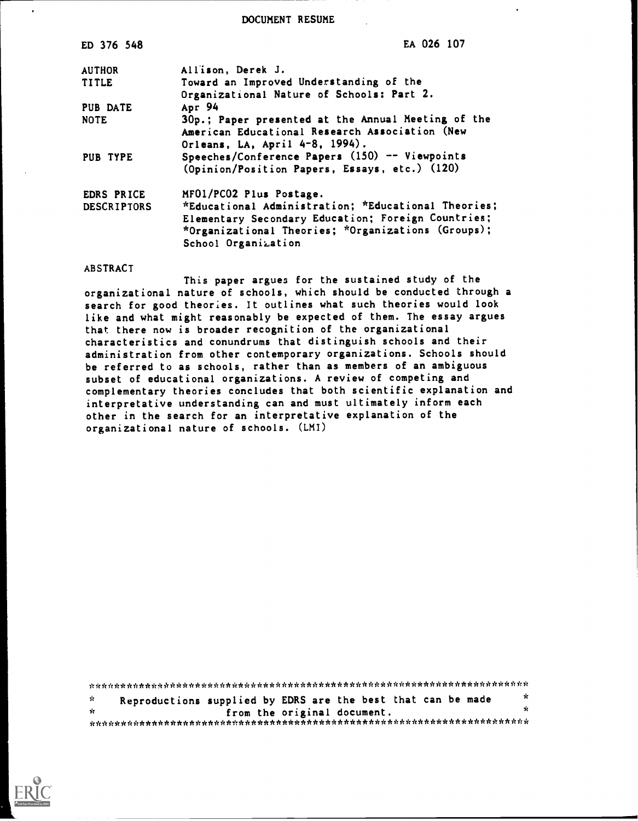DOCUMENT RESUME

| ED 376 548         | EA 026 107                                                                                                                             |
|--------------------|----------------------------------------------------------------------------------------------------------------------------------------|
| <b>AUTHOR</b>      | Allison, Derek J.                                                                                                                      |
| <b>TITLE</b>       | Toward an Improved Understanding of the                                                                                                |
|                    | Organizational Nature of Schools: Part 2.                                                                                              |
| PUB DATE           | Apr 94                                                                                                                                 |
| <b>NOTE</b>        | 30p.; Paper presented at the Annual Meeting of the<br>American Educational Research Association (New<br>Orleans, LA, April 4-8, 1994). |
| PUB TYPE           | Speeches/Conference Papers (150) -- Viewpoints                                                                                         |
|                    | (Opinion/Position Papers, Essays, etc.) (120)                                                                                          |
| EDRS PRICE         | MF01/PC02 Plus Postage.                                                                                                                |
| <b>DESCRIPTORS</b> | *Educational Administration; *Educational Theories;                                                                                    |
|                    | Elementary Secondary Education; Foreign Countries;                                                                                     |
|                    | *Organizational Theories; *Organizations (Groups);                                                                                     |
|                    | School Organization                                                                                                                    |

#### ABSTRACT

This paper argues for the sustained study of the organizational nature of schools, which should be conducted through a search for good theories. It outlines what such theories would look like and what might reasonably be expected of them. The essay argues that there now is broader recognition of the organizational characteristics and conundrums that distinguish schools and their administration from other contemporary organizations. Schools should be referred to as schools, rather than as members of an ambiguous subset of educational organizations. A review of competing and complementary theories concludes that both scientific explanation and interpretative understanding can and must ultimately inform each other in the search for an interpretative explanation of the organizational nature of schools. (LMI)

\*\*\*\*\*\*\*\*\*\*\*\*\*\*\*\*\*\*\*\*\*\*\*\*\*\*\*\*\*\*\*\*\*\*\*\*\*\*\*\*\*\*\*\*\*\*\*\*\*\*\*\*\*\*\*\*\*\*\*\*\*\*\*\*\*\*\*\*\*\*\* Reproductions supplied by EDRS are the best that can be made  $\mathbf{r}$ from the original document. \* \*\*\*\*\*\*\*\*\*\*\*\*\*\*\*\*\*\*\*\*\*\*\*\*\*\*\*\*\*\*\*\*\*\*\*\*\*\*\*\*\*\*\*\*\*\*\*\*\*\*\*\*\*\*\*\*\*\*\*\*\*\*\*\*\*\*\*\*\*\*\*

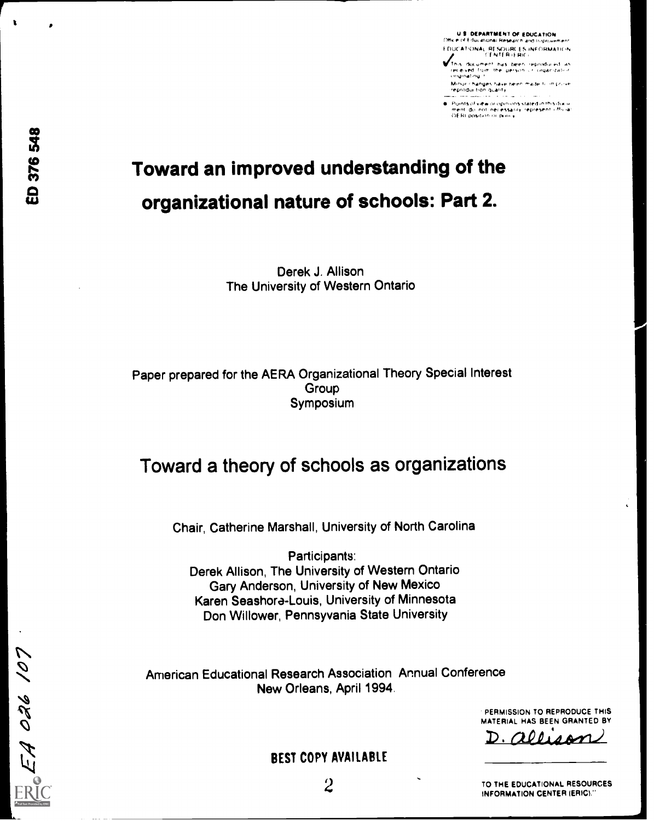ED 376 548

N

 $\overline{\rho}$ 

 $\overline{\mathcal{O}}$ 

 $\mathcal{P}$ 

r

U S. DEPARTMENT OF EDUCATION<br>Office of Educational Research and triprovement DOCATIONAL RESOURCES INFORMATION

This duc*ument has been reproduced as*<br>Ieceived from the person of organization<br>originating t

Minor changes have reen made to in prov<br>reproduction quality

Points of view or opinions stated in this docu.<br>ment, do inot, necessarily, represent, official.<br>OE RI position or policy.

# Toward an improved understanding of the organizational nature of schools: Part 2.

Derek J. Allison The University of Western Ontario

Paper prepared for the AERA Organizational Theory Special Interest Group Symposium

## Toward a theory of schools as organizations

Chair, Catherine Marshall, University of North Carolina

Participants: Derek Allison, The University of Western Ontario Gary Anderson, University of New Mexico Karen Seashora-Louis, University of Minnesota Don Willower, Pennsyvania State University

American Educational Research Association Annual Conference New Orleans, April 1994.

> PERMISSION TO REPRODUCE THIS MATERIAL HAS BEEN GRANTED BY

 $1.4$ A $M$ 

BEST COPY AVAILABLE

TO THE EDUCATIONAL RESOURCES INFORMATION CENTER IERIC)"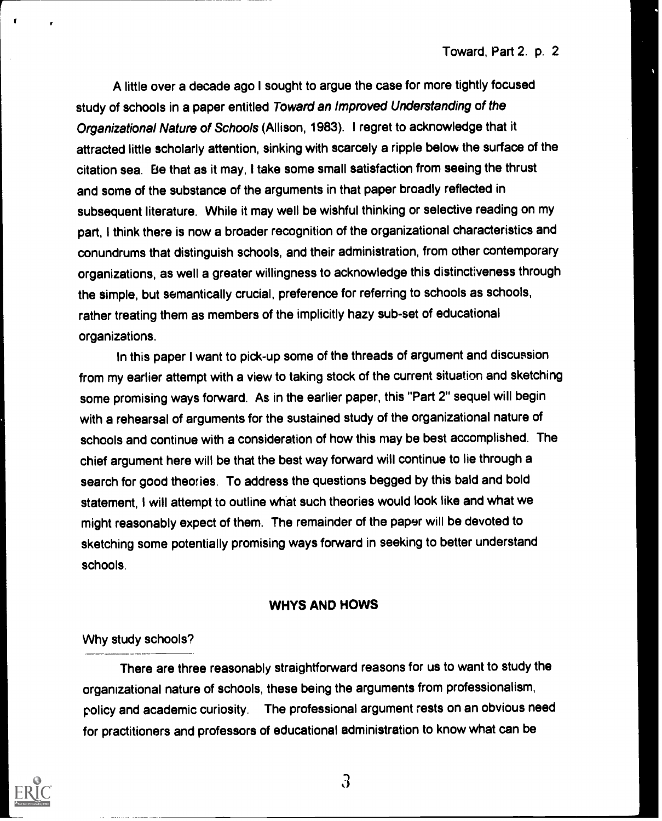A little over a decade ago I sought to argue the case for more tightly focused study of schools in a paper entitled Toward an Improved Understanding of the Organizational Nature of Schools (Allison, 1983). I regret to acknowledge that it attracted little scholarly attention, sinking with scarcely a ripple below the surface of the citation sea. Be that as it may, I take some small satisfaction from seeing the thrust and some of the substance of the arguments in that paper broadly reflected in subsequent literature. While it may well be wishful thinking or selective reading on my part, I think there is now a broader recognition of the organizational characteristics and conundrums that distinguish schools, and their administration, from other contemporary organizations, as well a greater willingness to acknowledge this distinctiveness through the simple, but semantically crucial, preference for referring to schools as schools, rather treating them as members of the implicitly hazy sub-set of educational organizations.

In this paper I want to pick-up some of the threads of argument and discussion from my earlier attempt with a view to taking stock of the current situation and sketching some promising ways forward. As in the earlier paper, this "Part 2" sequel will begin with a rehearsal of arguments for the sustained study of the organizational nature of schools and continue with a consideration of how this may be best accomplished. The chief argument here will be that the best way forward will continue to lie through a search for good theories. To address the questions begged by this bald and bold statement, I will attempt to outline what such theories would look like and what we might reasonably expect of them. The remainder of the paper will be devoted to sketching some potentially promising ways forward in seeking to better understand schools.

#### WHYS AND HOWS

Why study schools?

There are three reasonably straightforward reasons for us to want to study the organizational nature of schools, these being the arguments from professionalism, policy and academic curiosity. The professional argument rests on an obvious need for practitioners and professors of educational administration to know what can be



r

ł

 $\mathfrak{Z}$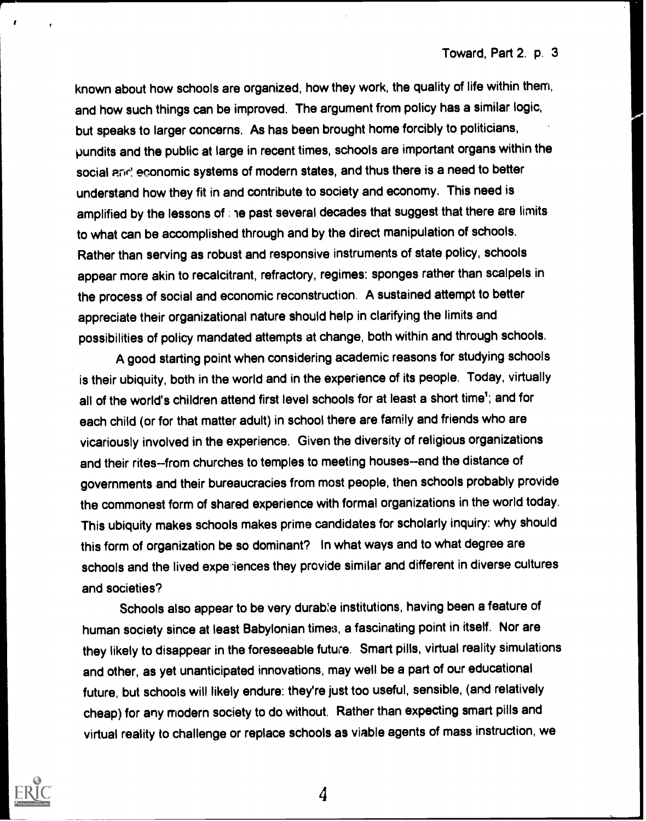known about how schools are organized, how they work, the quality of life within them, and how such things can be improved. The argument from policy has a similar logic, but speaks to larger concerns. As has been brought home forcibly to politicians, pundits and the public at large in recent times, schools are important organs within the social and economic systems of modern states, and thus there is a need to better understand how they fit in and contribute to society and economy. This need is amplified by the lessons of ; he past several decades that suggest that there are limits to what can be accomplished through and by the direct manipulation of schools. Rather than serving as robust and responsive instruments of state policy, schools appear more akin to recalcitrant, refractory, regimes: sponges rather than scalpels in the process of social and economic reconstruction. A sustained attempt to better appreciate their organizational nature should help in clarifying the limits and possibilities of policy mandated attempts at change, both within and through schools.

A good starting point when considering academic reasons for studying schools is their ubiquity, both in the world and in the experience of its people. Today, virtually all of the world's children attend first level schools for at least a short time'; and for each child (or for that matter adult) in school there are family and friends who are vicariously involved in the experience. Given the diversity of religious organizations and their rites--from churches to temples to meeting houses--and the distance of governments and their bureaucracies from most people, then schools probably provide the commonest form of shared experience with formal organizations in the world today. This ubiquity makes schools makes prime candidates for scholarly inquiry: why should this form of organization be so dominant? In what ways and to what degree are schools and the lived experiences they provide similar and different in diverse cultures and societies?

Schools also appear to be very durab:e institutions, having been a feature of human society since at least Babylonian times, a fascinating point in itself. Nor are they likely to disappear in the foreseeable future. Smart pills, virtual reality simulations and other, as yet unanticipated innovations, may well be a part of our educational future, but schools will likely endure: they're just too useful, sensible, (and relatively cheap) for any modern society to do without. Rather than expecting smart pills and virtual reality to challenge or replace schools as viable agents of mass instruction, we

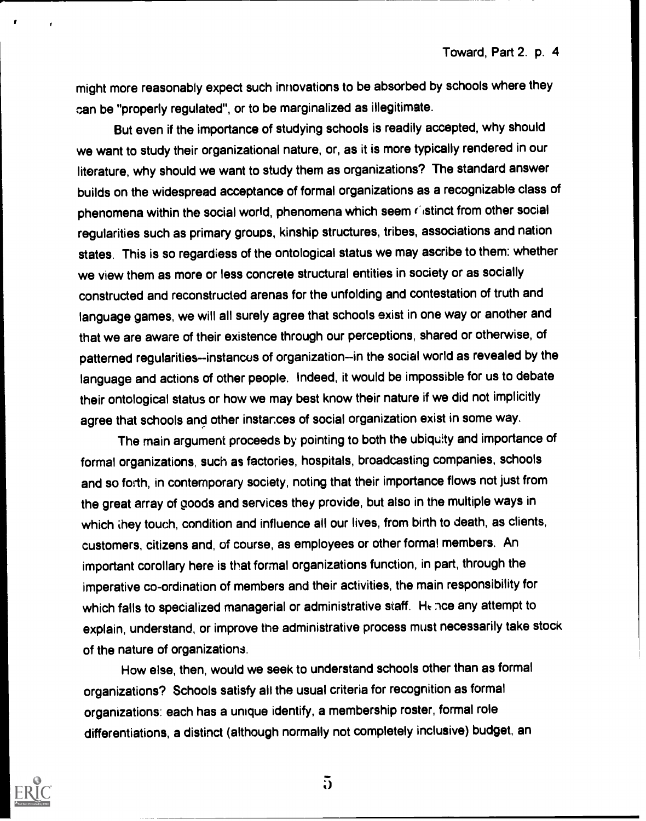might more reasonably expect such innovations to be absorbed by schools where they can be "properly regulated", or to be marginalized as illegitimate.

But even if the importance of studying schools is readily accepted, why should we want to study their organizational nature, or, as it is more typically rendered in our literature, why should we want to study them as organizations? The standard answer builds on the widespread acceptance of formal organizations as a recognizable class of phenomena within the social world, phenomena which seem castinct from other social regularities such as primary groups, kinship structures, tribes, associations and nation states. This is so regardiess of the ontological status we may ascribe to them: whether we view them as more or less concrete structural entities in society or as socially constructed and reconstructed arenas for the unfolding and contestation of truth and language games, we will all surely agree that schools exist in one way or another and that we are aware of their existence through our perceptions, shared or otherwise, of patterned regularities--instances of organization--in the social world as revealed by the language and actions of other people. Indeed, it would be impossible for us to debate their ontological status or how we may best know their nature if we did not implicitly agree that schools and other instarces of social organization exist in some way.

The main argument proceeds by pointing to both the ubiquity and importance of formal organizations, such as factories, hospitals, broadcasting companies, schools and so forth, in contemporary society, noting that their importance flows not just from the great array of goods and services they provide, but also in the multiple ways in which they touch, condition and influence all our lives, from birth to death, as clients, customers, citizens and, of course, as employees or other formal members. An important corollary here is that formal organizations function, in part, through the imperative co-ordination of members and their activities, the main responsibility for which falls to specialized managerial or administrative staff. He nce any attempt to explain, understand, or improve the administrative process must necessarily take stock of the nature of organizations.

How else, then, would we seek to understand schools other than as formal organizations? Schools satisfy all the usual criteria for recognition as formal organizations: each has a unique identify, a membership roster, formal role differentiations, a distinct (although normally not completely inclusive) budget, an



 $\overline{\mathbf{a}}$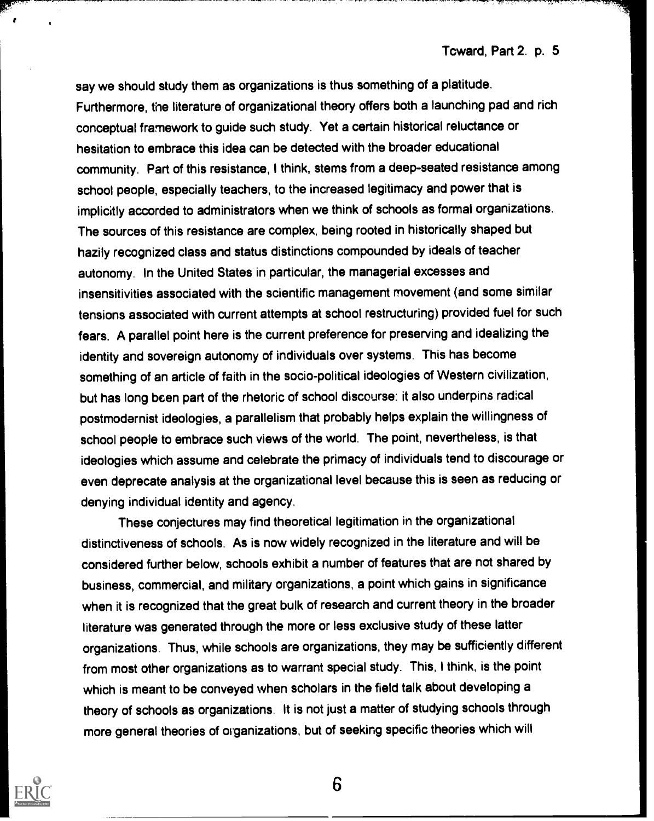say we should study them as organizations is thus something of a platitude. Furthermore, the literature of organizational theory offers both a launching pad and rich conceptual framework to guide such study. Yet a certain historical reluctance or hesitation to embrace this idea can be detected with the broader educational community. Part of this resistance, I think, stems from a deep-seated resistance among school people, especially teachers, to the increased legitimacy and power that is implicitly accorded to administrators when we think of schools as formal organizations. The sources of this resistance are complex, being rooted in historically shaped but hazily recognized class and status distinctions compounded by ideals of teacher autonomy. In the United States in particular, the managerial excesses and insensitivities associated with the scientific management movement (and some similar tensions associated with current attempts at school restructuring) provided fuel for such fears. A parallel point here is the current preference for preserving and idealizing the identity and sovereign autonomy of individuals over systems. This has become something of an article of faith in the socio-political ideologies of Western civilization, but has long been part of the rhetoric of school discourse: it also underpins radical postmodernist ideologies, a parallelism that probably helps explain the willingness of school people to embrace such views of the world. The point, nevertheless, is that ideologies which assume and celebrate the primacy of individuals tend to discourage or even deprecate analysis at the organizational level because this is seen as reducing or denying individual identity and agency.

These conjectures may find theoretical legitimation in the organizational distinctiveness of schools. As is now widely recognized in the literature and will be considered further below, schools exhibit a number of features that are not shared by business, commercial, and military organizations, a point which gains in significance when it is recognized that the great bulk of research and current theory in the broader literature was generated through the more or less exclusive study of these latter organizations. Thus, while schools are organizations, they may be sufficiently different from most other organizations as to warrant special study. This, I think, is the point which is meant to be conveyed when scholars in the field talk about developing a theory of schools as organizations. It is not just a matter of studying schools through more general theories of organizations, but of seeking specific theories which will

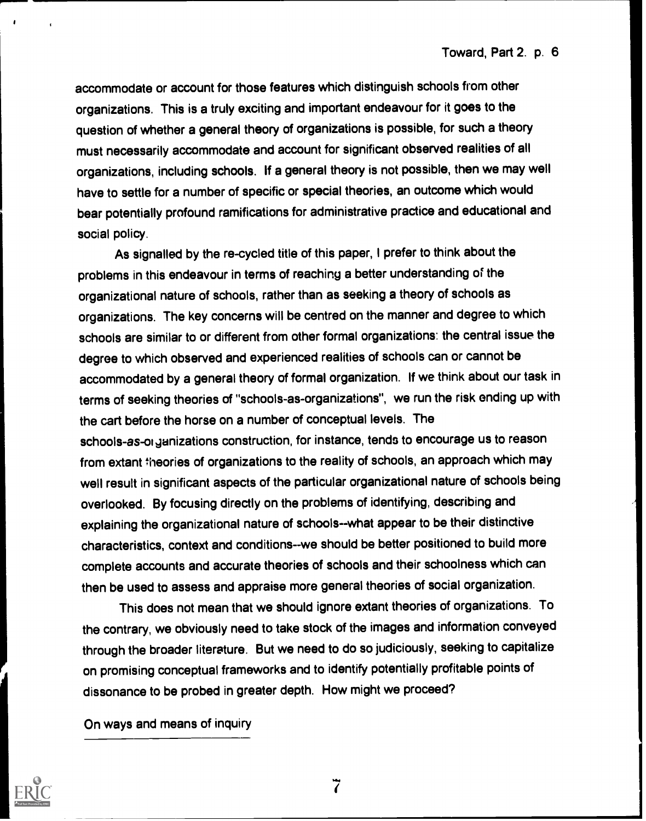accommodate or account for those features which distinguish schools from other organizations. This is a truly exciting and important endeavour for it goes to the question of whether a general theory of organizations is possible, for such a theory must necessarily accommodate and account for significant observed realities of all organizations, including schools. If a general theory is not possible, then we may well have to settle for a number of specific or special theories, an outcome which would bear potentially profound ramifications for administrative practice and educational and social policy.

As signalled by the re-cycled title of this paper, I prefer to think about the problems in this endeavour in terms of reaching a better understanding of the organizational nature of schools, rather than as seeking a theory of schools as organizations. The key concerns will be centred on the manner and degree to which schools are similar to or different from other formal organizations: the central issue the degree to which observed and experienced realities of schools can or cannot be accommodated by a general theory of formal organization. If we think about our task in terms of seeking theories of "schools-as-organizations", we run the risk ending up with the cart before the horse on a number of conceptual levels. The schools-as-oi ganizations construction, for instance, tends to encourage us to reason from extant theories of organizations to the reality of schools, an approach which may well result in significant aspects of the particular organizational nature of schools being overlooked. By focusing directly on the problems of identifying, describing and explaining the organizational nature of schools--what appear to be their distinctive characteristics, context and conditions--we should be better positioned to build more complete accounts and accurate theories of schools and their schoolness which can then be used to assess and appraise more general theories of social organization.

This does not mean that we should ignore extant theories of organizations. To the contrary, we obviously need to take stock of the images and information conveyed through the broader literature. But we need to do so judiciously, seeking to capitalize on promising conceptual frameworks and to identify potentially profitable points of dissonance to be probed in greater depth. How might we proceed?

On ways and means of inquiry

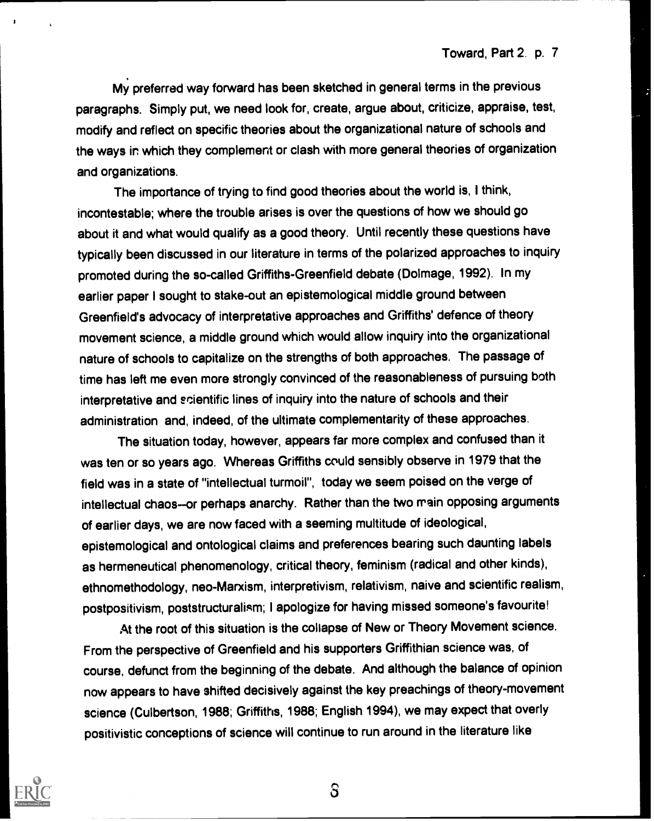My preferred way forward has been sketched in general terms in the previous paragraphs. Simply put, we need look for, create, argue about, criticize, appraise, test, modify and reflect on specific theories about the organizational nature of schools and the ways in which they complement or clash with more general theories of organization and organizations.

The importance of trying to find good theories about the world is, I think, incontestable; where the trouble arises is over the questions of how we should go about it and what would qualify as a good theory. Until recently these questions have typically been discussed in our literature in terms of the polarized approaches to inquiry promoted during the so-called Griffiths-Greenfield debate (Dolmage, 1992). In my earlier paper I sought to stake-out an epistemological middle ground between Greenfield's advocacy of interpretative approaches and Griffiths' defence of theory movement science, a middle ground which would allow inquiry into the organizational nature of schools to capitalize on the strengths of both approaches. The passage of time has left me even more strongly convinced of the reasonableness of pursuing both interpretative and ecientific lines of inquiry into the nature of schools and their administration and, indeed, of the ultimate complementarity of these approaches.

The situation today, however, appears far more complex and confused than it was ten or so years ago. Whereas Griffiths could sensibly observe in 1979 that the field was in a state of "intellectual turmoil", today we seem poised on the verge of intellectual chaos-or perhaps anarchy. Rather than the two main opposing arguments of earlier days, we are now faced with a seeming multitude of ideological, epistemological and ontological claims and preferences bearing such daunting labels as hermeneutical phenomenology, critical theory, feminism (radical and other kinds), ethnomethodology, neo-Marxism, interpretivism, relativism, naive and scientific realism, postpositivism, poststructuralism; I apologize for having missed someone's favourite!

At the root of this situation is the collapse of New or Theory Movement science. From the perspective of Greenfield and his supporters Griffithian science was, of course, defunct from the beginning of the debate. And although the balance of opinion now appears to have shifted decisively against the key preachings of theory-movement science (Culbertson, 1988; Griffiths, 1988; English 1994), we may expect that overly positivistic conceptions of science will continue to run around in the literature like



 $S$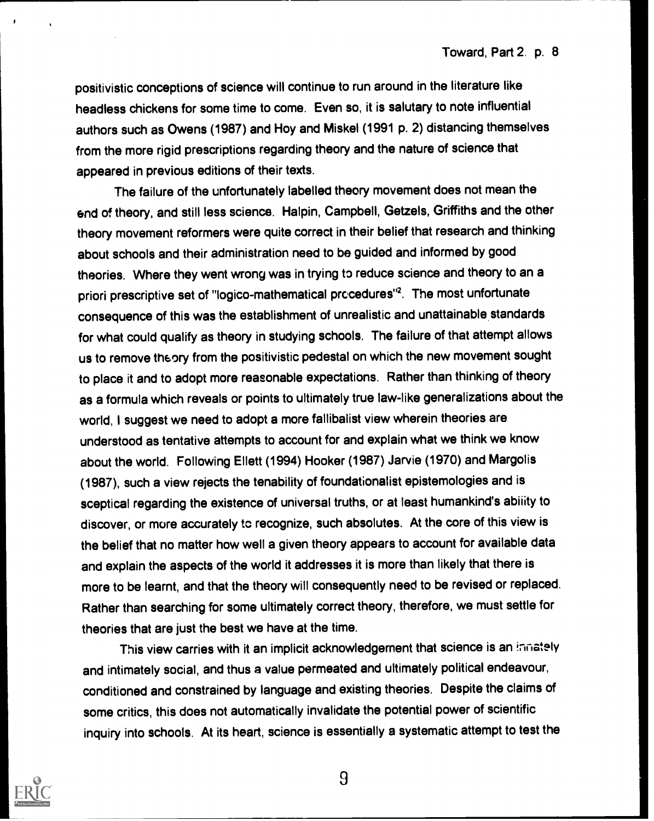positivistic conceptions of science will continue to run around in the literature like headless chickens for some time to come. Even so, it is salutary to note influential authors such as Owens (1987) and Hoy and Miskel (1991 p. 2) distancing themselves from the more rigid prescriptions regarding theory and the nature of science that appeared in previous editions of their texts.

The failure of the unfortunately labelled theory movement does not mean the end of theory, and still less science. Halpin, Campbell, Getzels, Griffiths and the other theory movement reformers were quite correct in their belief that research and thinking about schools and their administration need to be guided and informed by good theories. Where they went wrong was in trying to reduce science and theory to an a priori prescriptive set of "logico-mathematical procedures"<sup>2</sup>. The most unfortunate consequence of this was the establishment of unrealistic and unattainable standards for what could qualify as theory in studying schools. The failure of that attempt allows us to remove theory from the positivistic pedestal on which the new movement sought to place it and to adopt more reasonable expectations. Rather than thinking of theory as a formula which reveals or points to ultimately true law-like generalizations about the world, I suggest we need to adopt a more fallibalist view wherein theories are understood as tentative attempts to account for and explain what we think we know about the world. Following Ellett (1994) Hooker (1987) Jarvie (1970) and Margolis (1987), such a view rejects the tenability of foundationalist epistemologies and is sceptical regarding the existence of universal truths, or at least humankind's abiiity to discover, or more accurately to recognize, such absolutes. At the core of this view is the belief that no matter how well a given theory appears to account for available data and explain the aspects of the world it addresses it is more than likely that there is more to be learnt, and that the theory will consequently need to be revised or replaced. Rather than searching for some ultimately correct theory, therefore, we must settle for theories that are just the best we have at the time.

This view carries with it an implicit acknowledgement that science is an innately and intimately social, and thus a value permeated and ultimately political endeavour, conditioned and constrained by language and existing theories. Despite the claims of some critics, this does not automatically invalidate the potential power of scientific inquiry into schools. At its heart, science is essentially a systematic attempt to test the

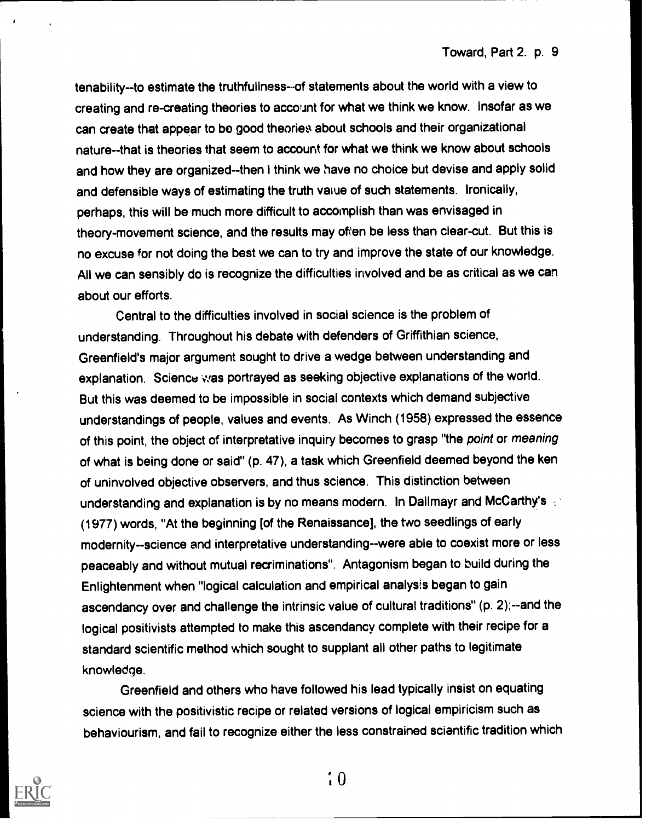tenability--to estimate the truthfullness--of statements about the world with a view to creating and re-creating theories to account for what we think we know. Insofar as we can create that appear to bo good theories about schools and their organizational nature--that is theories that seem to account for what we think we know about schools and how they are organized--then I think we have no choice but devise and apply solid and defensible ways of estimating the truth vaiue of such statements. Ironically, perhaps, this will be much more difficult to accomplish than was envisaged in theory-movement science, and the results may often be less than clear-cut. But this is no excuse for not doing the best we can to try and improve the state of our knowledge. All we can sensibly do is recognize the difficulties involved and be as critical as we can about our efforts.

Central to the difficulties involved in social science is the problem of understanding. Throughout his debate with defenders of Griffithian science, Greenfield's major argument sought to drive a wedge between understanding and explanation. Science was portrayed as seeking objective explanations of the world. But this was deemed to be impossible in social contexts which demand subjective understandings of people, values and events. As Winch (1958) expressed the essence of this point, the object of interpretative inquiry becomes to grasp "the point or meaning of what is being done or said" (p. 47), a task which Greenfield deemed beyond the ken of uninvolved objective observers, and thus science. This distinction between understanding and explanation is by no means modern. In Dallmayr and McCarthy's (1977) words, "At the beginning [of the Renaissance], the two seedlings of early modernity--science and interpretative understanding--were able to coexist more or less peaceably and without mutual recriminations". Antagonism began to build during the Enlightenment when "logical calculation and empirical analysis began to gain ascendancy over and challenge the intrinsic value of cultural traditions" (p. 2);--and the logical positivists attempted to make this ascendancy complete with their recipe for a standard scientific method which sought to supplant all other paths to legitimate knowledge.

Greenfield and others who have followed his lead typically insist on equating science with the positivistic recipe or related versions of logical empiricism such as behaviourism, and fail to recognize either the less constrained scientific tradition which



 $\div 0$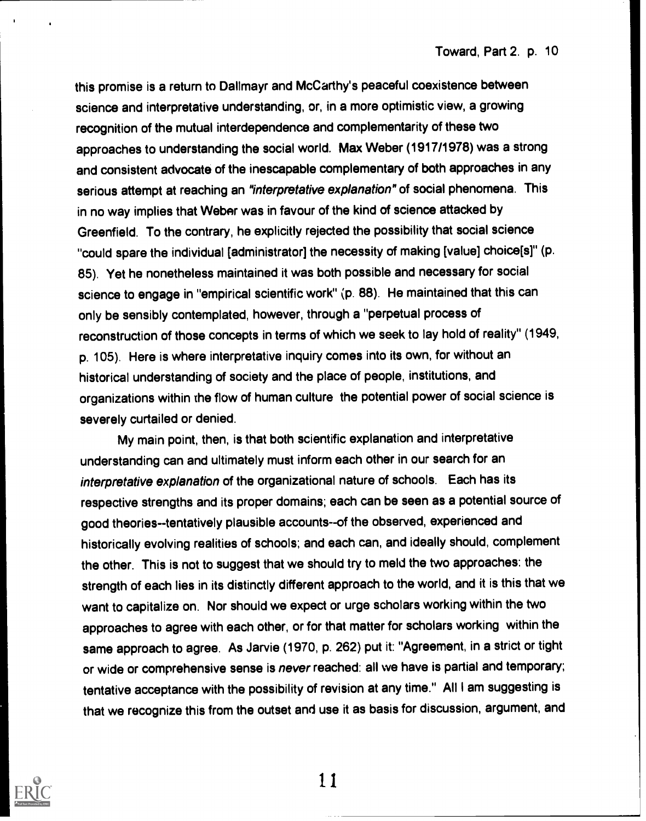this promise is a return to Dallmayr and McCarthy's peaceful coexistence between science and interpretative understanding, or, in a more optimistic view, a growing recognition of the mutual interdependence and complementarity of these two approaches to understanding the social world. Max Weber (1917/1978) was a strong and consistent advocate of the inescapable complementary of both approaches in any serious attempt at reaching an "interpretative explanation" of social phenomena. This in no way implies that Weber was in favour of the kind of science attacked by Greenfield. To the contrary, he explicitly rejected the possibility that social science "could spare the individual [administrator] the necessity of making [value] choice[s]" (p. 85). Yet he nonetheless maintained it was both possible and necessary for social science to engage in "empirical scientific work" (p. 88). He maintained that this can only be sensibly contemplated, however, through a "perpetual process of reconstruction of those concepts in terms of which we seek to lay hold of reality" (1949, p. 105). Here is where interpretative inquiry comes into its own, for without an historical understanding of society and the place of people, institutions, and organizations within the flow of human culture the potential power of social science is severely curtailed or denied.

My main point, then, is that both scientific explanation and interpretative understanding can and ultimately must inform each other in our search for an interpretative explanation of the organizational nature of schools. Each has its respective strengths and its proper domains; each can be seen as a potential source of good theories--tentatively plausible accounts--of the observed, experienced and historically evolving realities of schools; and each can, and ideally should, complement the other. This is not to suggest that we should try to meld the two approaches: the strength of each lies in its distinctly different approach to the world, and it is this that we want to capitalize on. Nor should we expect or urge scholars working within the two approaches to agree with each other, or for that matter for scholars working within the same approach to agree. As Jarvie (1970, p. 262) put it: "Agreement, in a strict or tight or wide or comprehensive sense is never reached: all we have is partial and temporary; tentative acceptance with the possibility of revision at any time." All I am suggesting is that we recognize this from the outset and use it as basis for discussion, argument, and



11.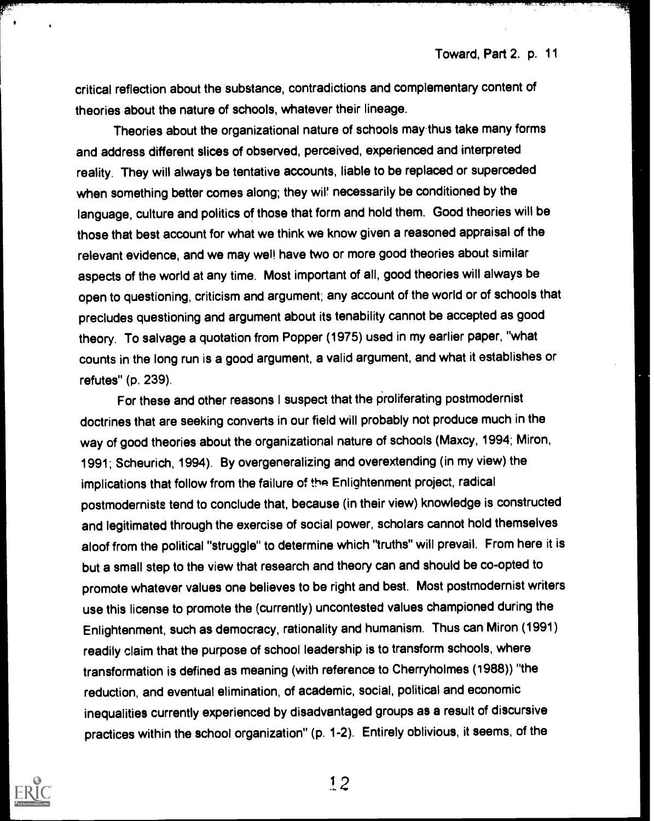critical reflection about the substance, contradictions and complementary content of theories about the nature of schools, whatever their lineage.

Theories about the organizational nature of schools may-thus take many forms and address different slices of observed, perceived, experienced and interpreted reality. They will always be tentative accounts, liable to be replaced or superceded when something better comes along; they wil' necessarily be conditioned by the language, culture and politics of those that form and hold them. Good theories will be those that best account for what we think we know given a reasoned appraisal of the relevant evidence, and we may wel! have two or more good theories about similar aspects of the world at any time. Most important of all, good theories will always be open to questioning, criticism and argument; any account of the world or of schools that precludes questioning and argument about its tenability cannot be accepted as good theory. To salvage a quotation from Popper (1975) used in my earlier paper, "what counts in the long run is a good argument, a valid argument, and what it establishes or refutes" (p. 239).

For these and other reasons I suspect that the proliferating postmodernist doctrines that are seeking converts in our field will probably not produce much in the way of good theories about the organizational nature of schools (Maxcy, 1994; Miron, 1991; Scheurich, 1994). By overgeneralizing and overextending (in my view) the implications that follow from the failure of the Enlightenment project, radical postmodernists tend to conclude that, because (in their view) knowledge is constructed and legitimated through the exercise of social power, scholars cannot hold themselves aloof from the political "struggle" to determine which "truths" will prevail. From here it is but a small step to the view that research and theory can and should be co-opted to promote whatever values one believes to be right and best. Most postmodernist writers use this license to promote the (currently) uncontested values championed during the Enlightenment, such as democracy, rationality and humanism. Thus can Miron (1991) readily claim that the purpose of school leadership is to transform schools, where transformation is defined as meaning (with reference to Cherryholmes (1988)) "the reduction, and eventual elimination, of academic, social, political and economic inequalities currently experienced by disadvantaged groups as a result of discursive practices within the school organization" (p. 1-2). Entirely oblivious, it seems, of the

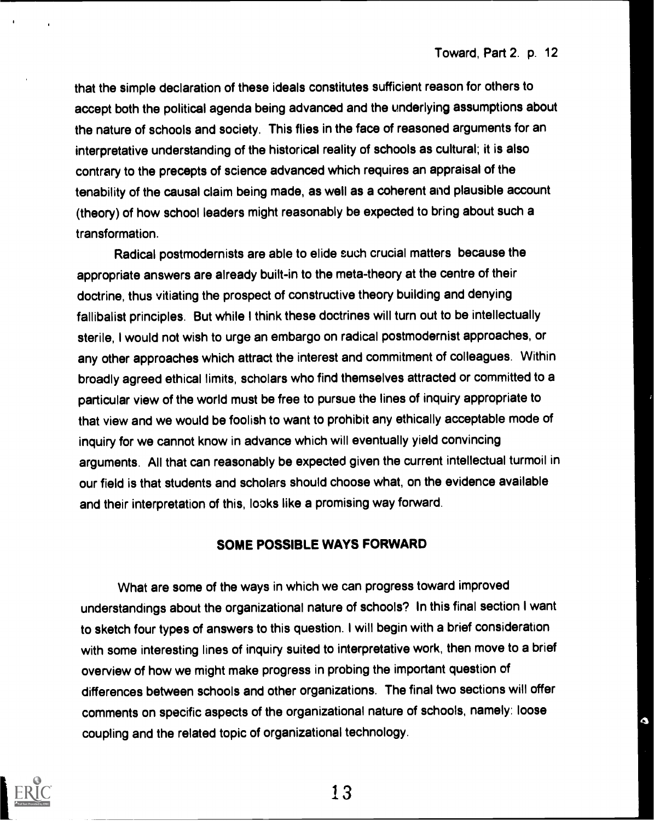۵

that the simple declaration of these ideals constitutes sufficient reason for others to accept both the political agenda being advanced and the underlying assumptions about the nature of schools and society. This flies in the face of reasoned arguments for an interpretative understanding of the historical reality of schools as cultural; it is also contrary to the precepts of science advanced which requires an appraisal of the tenability of the causal claim being made, as well as a coherent and plausible account (theory) of how school leaders might reasonably be expected to bring about such a transformation.

Radical postmodernists are able to elide such crucial matters because the appropriate answers are already built-in to the meta-theory at the centre of their doctrine, thus vitiating the prospect of constructive theory building and denying fallibalist principles. But while I think these doctrines will turn out to be intellectually sterile, I would not wish to urge an embargo on radical postmodernist approaches, or any other approaches which attract the interest and commitment of colleagues. Within broadly agreed ethical limits, scholars who find themselves attracted or committed to a particular view of the world must be free to pursue the lines of inquiry appropriate to that view and we would be foolish to want to prohibit any ethically acceptable mode of inquiry for we cannot know in advance which will eventually yield convincing arguments. All that can reasonably be expected given the current intellectual turmoil in our field is that students and scholars should choose what, on the evidence available and their interpretation of this, looks like a promising way forward.

### SOME POSSIBLE WAYS FORWARD

What are some of the ways in which we can progress toward improved understandings about the organizational nature of schools? In this final section I want to sketch four types of answers to this question. I will begin with a brief consideration with some interesting lines of inquiry suited to interpretative work, then move to a brief overview of how we might make progress in probing the important question of differences between schools and other organizations. The final two sections will offer comments on specific aspects of the organizational nature of schools, namely: loose coupling and the related topic of organizational technology.

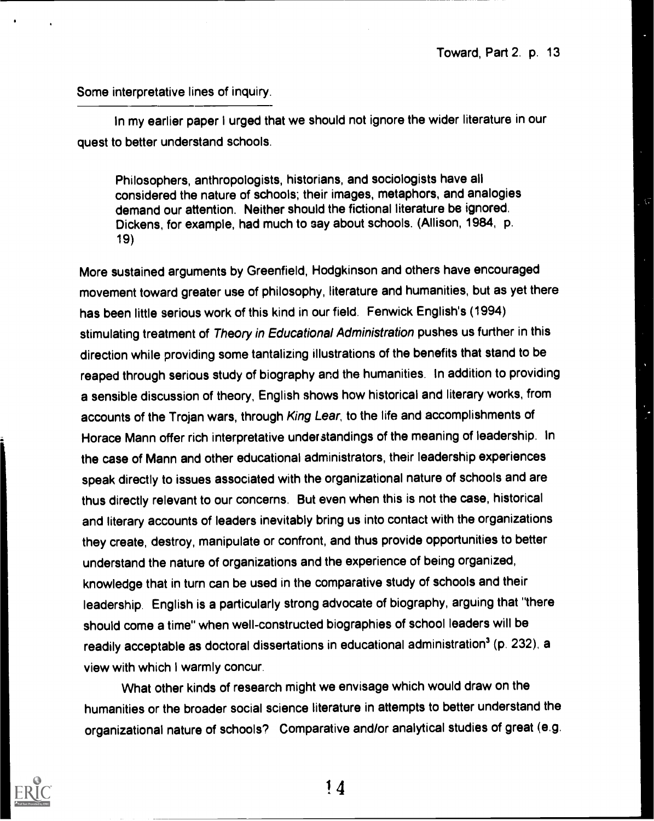$\overline{G}$ 

#### Some interpretative lines of inquiry.

In my earlier paper I urged that we should not ignore the wider literature in our quest to better understand schools.

Philosophers, anthropologists, historians, and sociologists have all considered the nature of schools; their images, metaphors, and analogies demand our attention. Neither should the fictional literature be ignored. Dickens, for example, had much to say about schools. (Allison, 1984, p. 19)

More sustained arguments by Greenfield, Hodgkinson and others have encouraged movement toward greater use of philosophy, literature and humanities, but as yet there has been little serious work of this kind in our field. Fenwick English's (1994) stimulating treatment of Theory in Educational Administration pushes us further in this direction while providing some tantalizing illustrations of the benefits that stand to be reaped through serious study of biography and the humanities. In addition to providing a sensible discussion of theory, English shows how historical and literary works, from accounts of the Trojan wars, through King Lear, to the life and accomplishments of Horace Mann offer rich interpretative understandings of the meaning of leadership. In the case of Mann and other educational administrators, their leadership experiences speak directly to issues associated with the organizational nature of schools and are thus directly relevant to our concerns. But even when this is not the case, historical and literary accounts of leaders inevitably bring us into contact with the organizations they create, destroy, manipulate or confront, and thus provide opportunities to better understand the nature of organizations and the experience of being organized, knowledge that in turn can be used in the comparative study of schools and their leadership. English is a particularly strong advocate of biography, arguing that "there should come a time" when well-constructed biographies of school leaders will be readily acceptable as doctoral dissertations in educational administration' (p. 232), a view with which I warmly concur.

What other kinds of research might we envisage which would draw on the humanities or the broader social science literature in attempts to better understand the organizational nature of schools? Comparative and/or analytical studies of great (e.g.

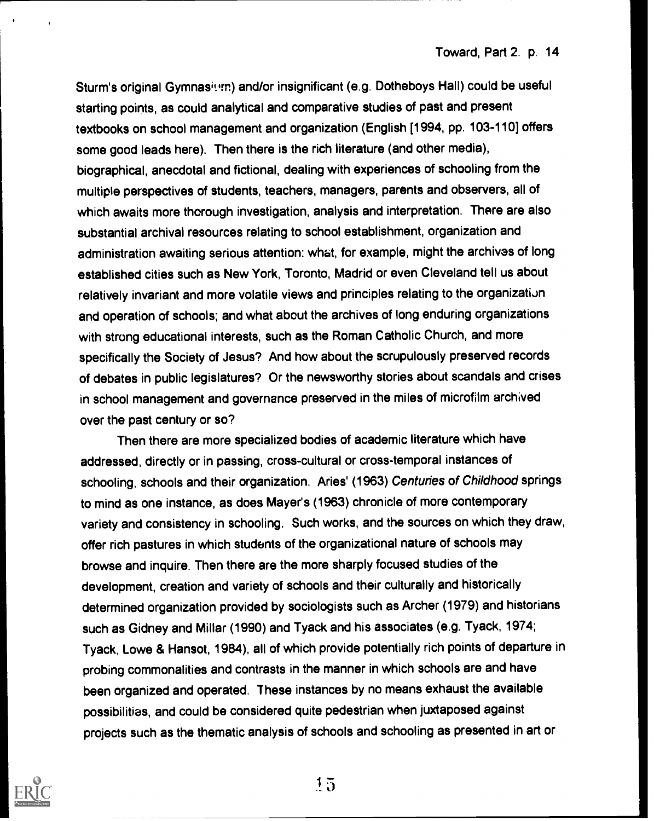Sturm's original Gymnasium) and/or insignificant (e.g. Dotheboys Hall) could be useful starting points, as could analytical and comparative studies of past and present textbooks on school management and organization (English [1994, pp. 103-110] offers some good leads here). Then there is the rich literature (and other media), biographical, anecdotal and fictional, dealing with experiences of schooling from the multiple perspectives of students, teachers, managers, parents and observers, all of which awaits more thorough investigation, analysis and interpretation. There are also substantial archival resources relating to school establishment, organization and administration awaiting serious attention: what, for example, might the archives of long established cities such as New York, Toronto, Madrid or even Cleveland tell us about relatively invariant and more volatile views and principles relating to the organization and operation of schools; and what about the archives of long enduring organizations with strong educational interests, such as the Roman Catholic Church, and more specifically the Society of Jesus? And how about the scrupulously preserved records of debates in public legislatures? Or the newsworthy stories about scandals and crises in school management and governance preserved in the miles of microfilm archived over the past century or so?

Then there are more specialized bodies of academic literature which have addressed, directly or in passing, cross-cultural or cross-temporal instances of schooling, schools and their organization. Aries' (1963) Centuries of Childhood springs to mind as one instance, as does Mayer's (1963) chronicle of more contemporary variety and consistency in schooling. Such works, and the sources on which they draw, offer rich pastures in which students of the organizational nature of schools may browse and inquire. Then there are the more sharply focused studies of the development, creation and variety of schools and their culturally and historically determined organization provided by sociologists such as Archer (1979) and historians such as Gidney and Millar (1990) and Tyack and his associates (e.g. Tyack, 1974; Tyack, Lowe & Hansot, 1984), all of which provide potentially rich points of departure in probing commonalities and contrasts in the manner in which schools are and have been organized and operated. These instances by no means exhaust the available possibilities, and could be considered quite pedestrian when juxtaposed against projects such as the thematic analysis of schools and schooling as presented in art or

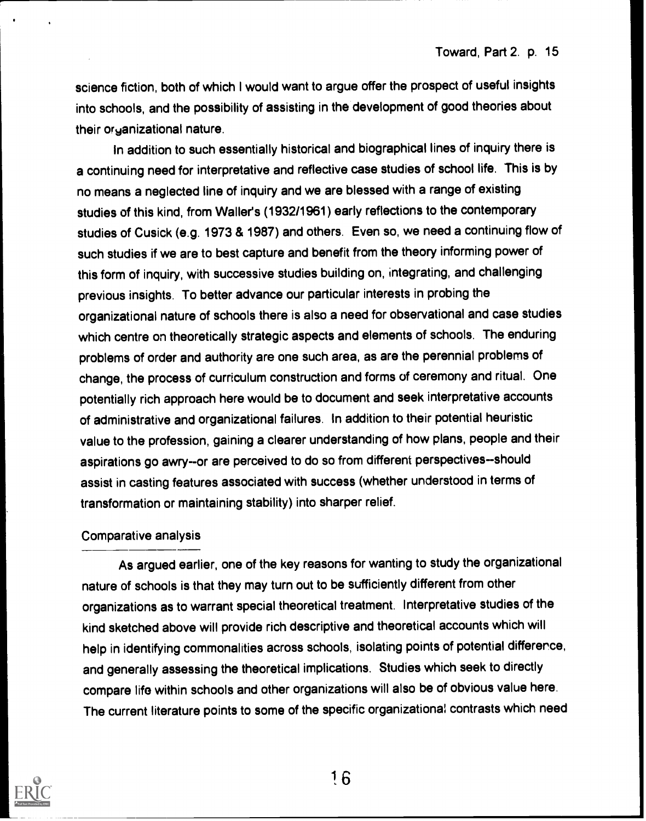science fiction, both of which I would want to argue offer the prospect of useful insights into schools, and the possibility of assisting in the development of good theories about their organizational nature.

In addition to such essentially historical and biographical lines of inquiry there is a continuing need for interpretative and reflective case studies of school life. This is by no means a neglected line of inquiry and we are blessed with a range of existing studies of this kind, from Waller's (1932/1961) early reflections to the contemporary studies of Cusick (e.g. 1973 & 1987) and others. Even so, we need a continuing flow of such studies if we are to best capture and benefit from the theory informing power of this form of inquiry, with successive studies building on, integrating, and challenging previous insights. To better advance our particular interests in probing the organizational nature of schools there is also a need for observational and case studies which centre on theoretically strategic aspects and elements of schools. The enduring problems of order and authority are one such area, as are the perennial problems of change, the process of curriculum construction and forms of ceremony and ritual. One potentially rich approach here would be to document and seek interpretative accounts of administrative and organizational failures. In addition to their potential heuristic value to the profession, gaining a clearer understanding of how plans, people and their aspirations go awry--or are perceived to do so from different perspectives--should assist in casting features associated with success (whether understood in terms of transformation or maintaining stability) into sharper relief.

#### Comparative analysis

As argued earlier, one of the key reasons for wanting to study the organizational nature of schools is that they may turn out to be sufficiently different from other organizations as to warrant special theoretical treatment. Interpretative studies of the kind sketched above will provide rich descriptive and theoretical accounts which will help in identifying commonalities across schools, isolating points of potential difference, and generally assessing the theoretical implications. Studies which seek to directly compare life within schools and other organizations will also be of obvious value here. The current literature points to some of the specific organizational contrasts which need

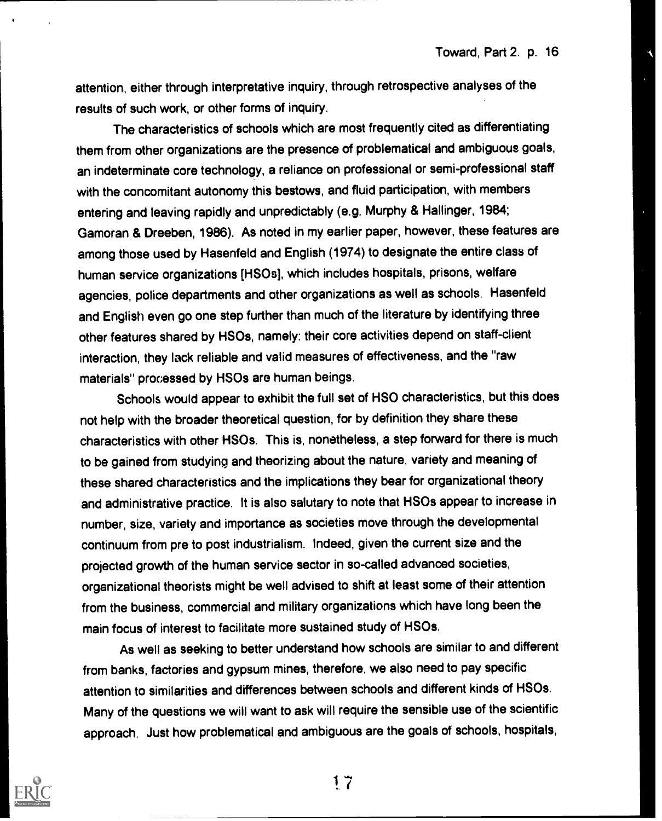Toward, Part 2. p. 16

attention, either through interpretative inquiry, through retrospective analyses of the results of such work, or other forms of inquiry.

The characteristics of schools which are most frequently cited as differentiating them from other organizations are the presence of problematical and ambiguous goals, an indeterminate core technology, a reliance on professional or semi-professional staff with the concomitant autonomy this bestows, and fluid participation, with members entering and leaving rapidly and unpredictably (e.g. Murphy & Hallinger, 1984; Gamoran & Dreeben, 1986). As noted in my earlier paper, however, these features are among those used by Hasenfeld and English (1974) to designate the entire class of human service organizations [HSOs], which includes hospitals, prisons, welfare agencies, police departments and other organizations as well as schools. Hasenfeld and English even go one step further than much of the literature by identifying three other features shared by HSOs, namely: their core activities depend on staff-client interaction, they lack reliable and valid measures of effectiveness, and the "raw materials" processed by HSOs are human beings.

Schools would appear to exhibit the full set of HSO characteristics, but this does not help with the broader theoretical question, for by definition they share these characteristics with other HSOs. This is, nonetheless, a step forward for there is much to be gained from studying and theorizing about the nature, variety and meaning of these shared characteristics and the implications they bear for organizational theory and administrative practice. It is also salutary to note that HSOs appear to increase in number, size, variety and importance as societies move through the developmental continuum from pre to post industrialism. Indeed, given the current size and the projected growth of the human service sector in so-called advanced societies, organizational theorists might be well advised to shift at least some of their attention from the business, commercial and military organizations which have long been the main focus of interest to facilitate more sustained study of HSOs.

As well as seeking to better understand how schools are similar to and different from banks, factories and gypsum mines, therefore, we also need to pay specific attention to similarities and differences between schools and different kinds of HSOs. Many of the questions we will want to ask will require the sensible use of the scientific approach. Just how problematical and ambiguous are the goals of schools, hospitals,



1. 7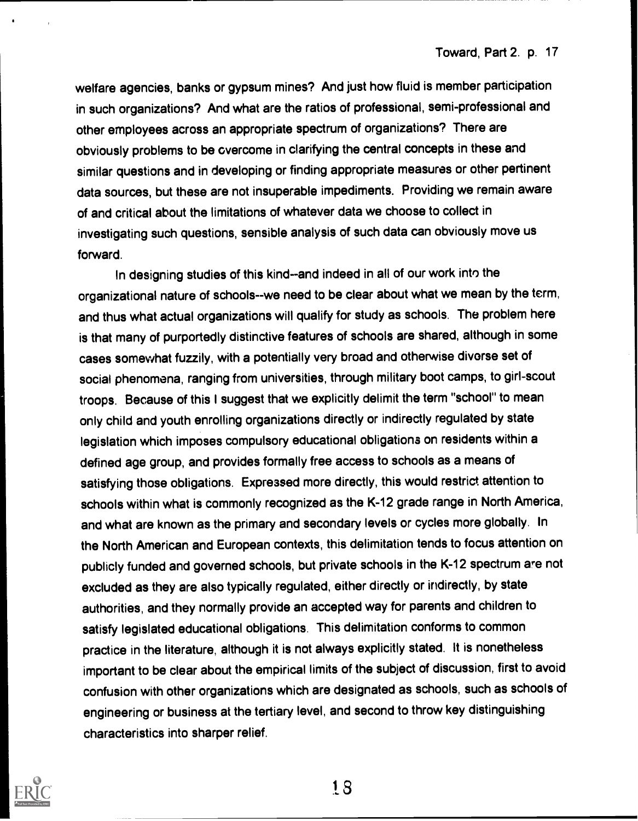welfare agencies, banks or gypsum mines? And just how fluid is member participation in such organizations? And what are the ratios of professional, semi-professional and other employees across an appropriate spectrum of organizations? There are obviously problems to be overcome in clarifying the central concepts in these and similar questions and in developing or finding appropriate measures or other pertinent data sources, but these are not insuperable impediments. Providing we remain aware of and critical about the limitations of whatever data we choose to collect in investigating such questions, sensible analysis of such data can obviously move us forward.

In designing studies of this kind--and indeed in all of our work into the organizational nature of schools--we need to be clear about what we mean by the term, and thus what actual organizations will qualify for study as schools. The problem here is that many of purportedly distinctive features of schools are shared, although in some cases somewhat fuzzily, with a potentially very broad and otherwise divorse set of social phenomena, ranging from universities, through military boot camps, to girl-scout troops. Because of this I suggest that we explicitly delimit the term "school" to mean only child and youth enrolling organizations directly or indirectly regulated by state legislation which imposes compulsory educational obligations on residents within a defined age group, and provides formally free access to schools as a means of satisfying those obligations. Expressed more directly, this would restrict attention to schools within what is commonly recognized as the K-12 grade range in North America, and what are known as the primary and secondary levels or cycles more globally. In the North American and European contexts, this delimitation tends to focus attention on publicly funded and governed schools, but private schools in the K-12 spectrum are not excluded as they are also typically regulated, either directly or indirectly, by state authorities, and they normally provide an accepted way for parents and children to satisfy legislated educational obligations. This delimitation conforms to common practice in the literature, although it is not always explicitly stated. It is nonetheless important to be clear about the empirical limits of the subject of discussion, first to avoid confusion with other organizations which are designated as schools, such as schools of engineering or business at the tertiary level, and second to throw key distinguishing characteristics into sharper relief.

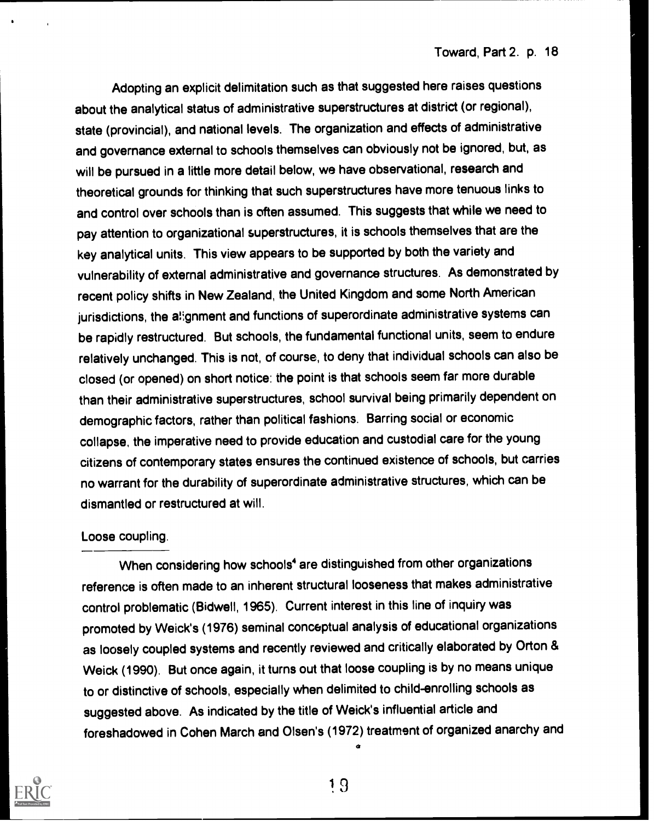Adopting an explicit delimitation such as that suggested here raises questions about the analytical status of administrative superstructures at district (or regional), state (provincial), and national levels. The organization and effects of administrative and governance external to schools themselves can obviously not be ignored, but, as will be pursued in a little more detail below, we have observational, research and theoretical grounds for thinking that such superstructures have more tenuous links to and control over schools than is often assumed. This suggests that while we need to pay attention to organizational superstructures, it is schools themselves that are the key analytical units. This view appears to be supported by both the variety and vulnerability of external administrative and governance structures. As demonstrated by recent policy shifts in New Zealand, the United Kingdom and some North American jurisdictions, the alignment and functions of superordinate administrative systems can be rapidly restructured. But schools, the fundamental functional units, seem to endure relatively unchanged. This is not, of course, to deny that individual schools can also be closed (or opened) on short notice: the point is that schools seem far more durable than their administrative superstructures, school survival being primarily dependent on demographic factors, rather than political fashions. Barring social or economic collapse, the imperative need to provide education and custodial care for the young citizens of contemporary states ensures the continued existence of schools, but carries no warrant for the durability of superordinate administrative structures, which can be dismantled or restructured at will.

#### Loose coupling.

When considering how schools<sup>4</sup> are distinguished from other organizations reference is often made to an inherent structural looseness that makes administrative control problematic (Bidwell, 1965). Current interest in this line of inquiry was promoted by Weick's (1976) seminal conceptual analysis of educational organizations as loosely coupled systems and recently reviewed and critically elaborated by Orton & Weick (1990). But once again, it turns out that loose coupling is by no means unique to or distinctive of schools, especially when delimited to child-enrolling schools as suggested above. As indicated by the title of Weick's influential article and foreshadowed in Cohen March and Olsen's (1972) treatment of organized anarchy and

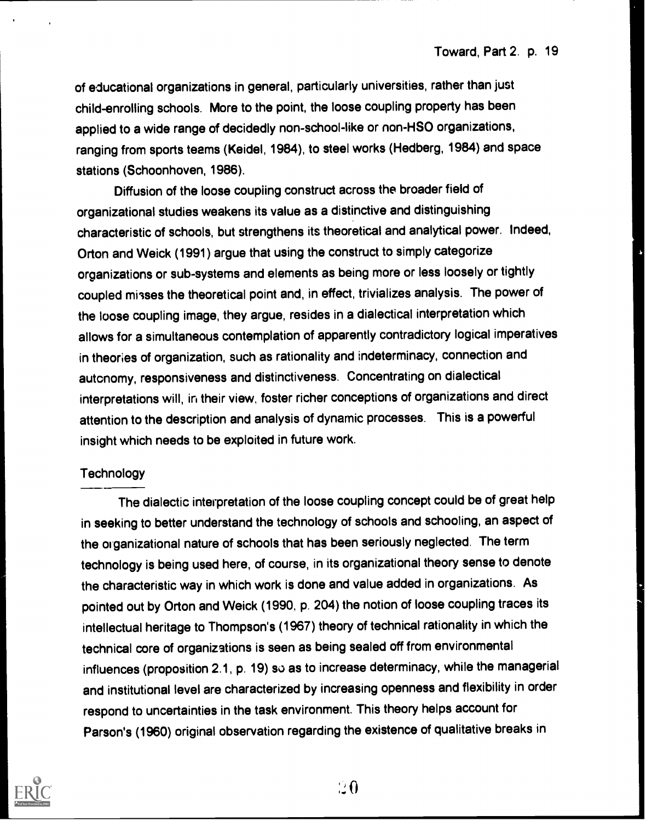of educational organizations in general, particularly universities, rather than just child-enrolling schools. More to the point, the loose coupling property has been applied to a wide range of decidedly non-school-like or non-HSO organizations, ranging from sports teems (Keidel, 1984), to steel works (Hedberg, 1984) and space stations (Schoonhoven, 1986).

Diffusion of the loose coupiing construct across the broader field of organizational studies weakens its value as a distinctive and distinguishing characteristic of schools, but strengthens its theoretical and analytical power. Indeed, Orton and Weick (1991) argue that using the construct to simply categorize organizations or sub-systems and elements as being more or less loosely or tightly coupled misses the theoretical point and, in effect, trivializes analysis. The power of the loose coupling image, they argue, resides in a dialectical interpretation which allows for a simultaneous contemplation of apparently contradictory logical imperatives in theories of organization, such as rationality and indeterminacy, connection and autonomy, responsiveness and distinctiveness. Concentrating on dialectical interpretations will, in their view, foster richer conceptions of organizations and direct attention to the description and analysis of dynamic processes. This is a powerful insight which needs to be exploited in future work.

#### **Technology**

The dialectic interpretation of the loose coupling concept could be of great help in seeking to better understand the technology of schools and schooling, an aspect of the organizational nature of schools that has been seriously neglected. The term technology is being used here, of course, in its organizational theory sense to denote the characteristic way in which work is done and value added in organizations. As pointed out by Orton and Weick (1990, p. 204) the notion of loose coupling traces its intellectual heritage to Thompson's (1967) theory of technical rationality in which the technical core of organizations is seen as being sealed off from environmental influences (proposition 2.1, p. 19) so as to increase determinacy, while the managerial and institutional level are characterized by increasing openness and flexibility in order respond to uncertainties in the task environment. This theory helps account for Parson's (1960) original observation regarding the existence of qualitative breaks in



 $\overline{20}$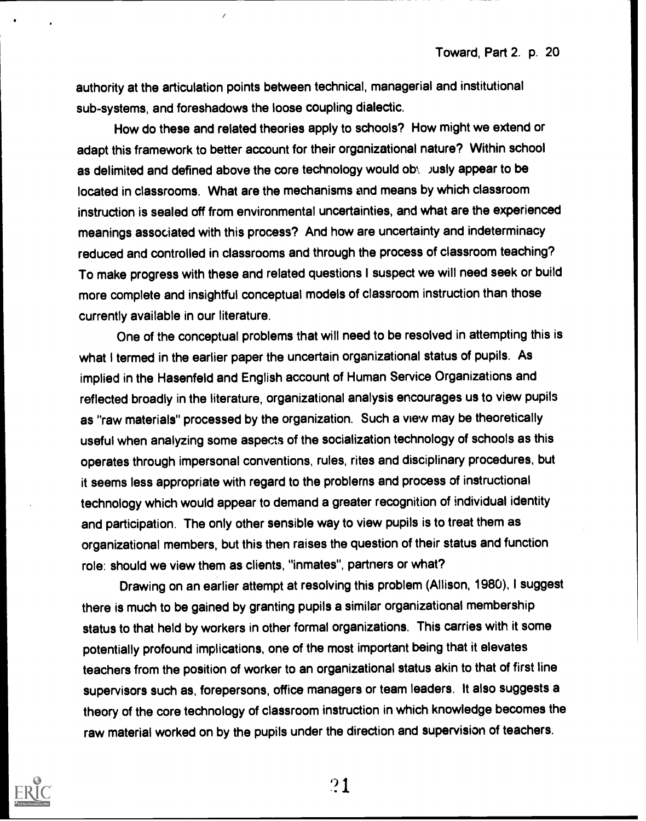authority at the articulation points between technical, managerial and institutional sub-systems, and foreshadows the loose coupling dialectic.

How do these and related theories apply to schools? How might we extend or adapt this framework to better account for their organizational nature? Within school as delimited and defined above the core technology would oby busiy appear to be located in classrooms. What are the mechanisms and means by which classroom instruction is sealed off from environmental uncertainties, and what are the experienced meanings associated with this process? And how are uncertainty and indeterminacy reduced and controlled in classrooms and through the process of classroom teaching? To make progress with these and related questions I suspect we will need seek or build more complete and insightful conceptual models of classroom instruction than those currently available in our literature.

One of the conceptual problems that will need to be resolved in attempting this is what I termed in the earlier paper the uncertain organizational status of pupils. As implied in the Hasenfeld and English account of Human Service Organizations and reflected broadly in the literature, organizational analysis encourages us to view pupils as "raw materials" processed by the organization. Such a view may be theoretically useful when analyzing some aspects of the socialization technology of schools as this operates through impersonal conventions, rules, rites and disciplinary procedures, but it seems less appropriate with regard to the problems and process of instructional technology which would appear to demand a greater recognition of individual identity and participation. The only other sensible way to view pupils is to treat them as organizational members, but this then raises the question of their status and function role: should we view them as clients, "inmates", partners or what?

Drawing on an earlier attempt at resolving this problem (Allison, 1980), I suggest there is much to be gained by granting pupils a similar organizational membership status to that held by workers in other formal organizations. This carries with it some potentially profound implications, one of the most important being that it elevates teachers from the position of worker to an organizational status akin to that of first line supervisors such as, forepersons, office managers or team leaders. It also suggests a theory of the core technology of classroom instruction in which knowledge becomes the raw material worked on by the pupils under the direction and supervision of teachers.

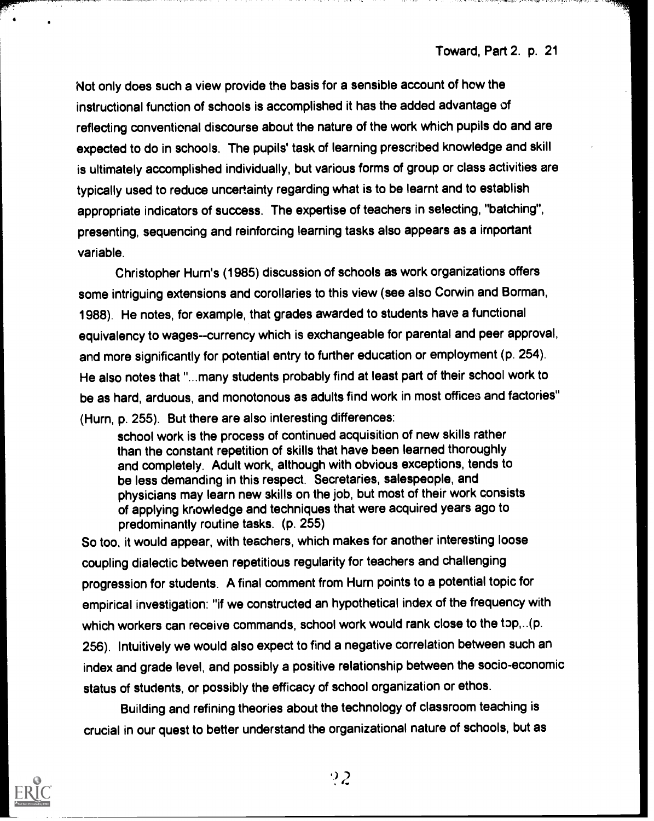Not only does such a view provide the basis for a sensible account of how the instructional function of schools is accomplished it has the added advantage of reflecting conventional discourse about the nature of the work which pupils do and are expected to do in schools. The pupils' task of learning prescribed knowledge and skill is ultimately accomplished individually, but various forms of group or class activities are typically used to reduce uncertainty regarding what is to be learnt and to establish appropriate indicators of success. The expertise of teachers in selecting, "batching", presenting, sequencing and reinforcing learning tasks also appears as a important variable.

Christopher Hum's (1985) discussion of schools as work organizations offers some intriguing extensions and corollaries to this view (see also Corwin and Borman, 1988). He notes, for example, that grades awarded to students have a functional equivalency to wages--currency which is exchangeable for parental and peer approval, and more significantly for potential entry to further education or employment (p. 254). He also notes that "...many students probably find at least part of their school work to be as hard, arduous, and monotonous as adults find work in most offices and factories" (Hum, p. 255). But there are also interesting differences:

school work is the process of continued acquisition of new skills rather than the constant repetition of skills that have been learned thoroughly and completely. Adult work, although with obvious exceptions, tends to be less demanding in this respect. Secretaries, salespeople, and physicians may learn new skills on the job, but most of their work consists of applying knowledge and techniques that were acquired years ago to predominantly routine tasks. (p. 255)

So too, it would appear, with teachers, which makes for another interesting loose coupling dialectic between repetitious regularity for teachers and challenging progression for students. A final comment from Hum points to a potential topic for empirical investigation: "if we constructed an hypothetical index of the frequency with which workers can receive commands, school work would rank close to the top,..(p. 256). Intuitively we would also expect to find a negative correlation between such an index and grade level, and possibly a positive relationship between the socio-economic status of students, or possibly the efficacy of school organization or ethos.

Building and refining theories about the technology of classroom teaching is crucial in our quest to better understand the organizational nature of schools, but as

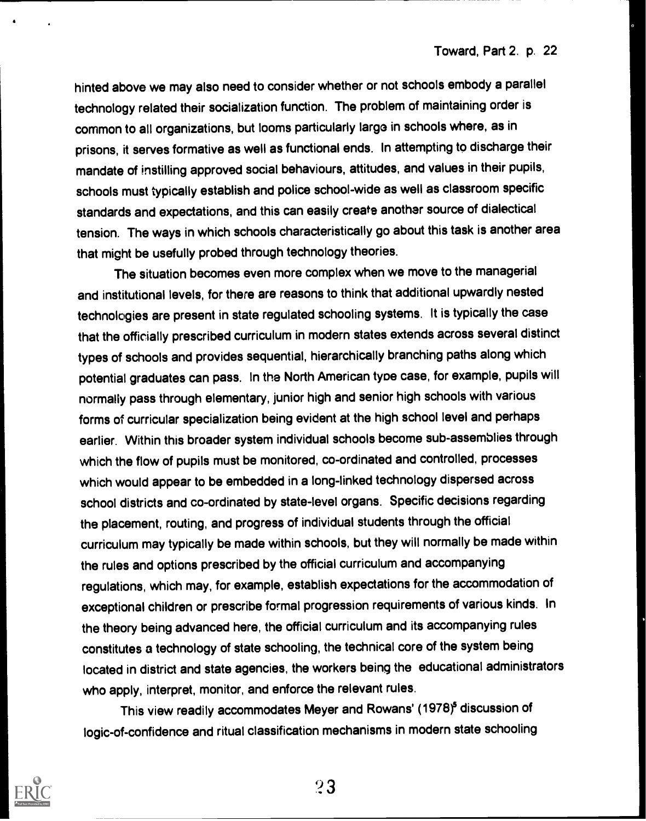hinted above we may also need to consider whether or not schools embody a parallel technology related their socialization function. The problem of maintaining order is common to all organizations, but looms particularly large in schools where, as in prisons, it serves formative as well as functional ends. In attempting to discharge their mandate of instilling approved social behaviours, attitudes, and values in their pupils, schools must typically establish and police school-wide as well as classroom specific standards and expectations, and this can easily create another source of dialectical tension. The ways in which schools characteristically go about this task is another area that might be usefully probed through technology theories.

The situation becomes even more complex when we move to the managerial and institutional levels, for there are reasons to think that additional upwardly nested technologies are present in state regulated schooling systems. It is typically the case that the officially prescribed curriculum in modern states extends across several distinct types of schools and provides sequential, hierarchically branching paths along which potential graduates can pass. In the North American tyoe case, for example, pupils will normally pass through elementary, junior high and senior high schools with various forms of curricular specialization being evident at the high school level and perhaps earlier. Within this broader system individual schools become sub-assemblies through which the flow of pupils must be monitored, co-ordinated and controlled, processes which would appear to be embedded in a long-linked technology dispersed across school districts and co-ordinated by state-level organs. Specific decisions regarding the placement, routing, and progress of individual students through the official curriculum may typically be made within schools, but they will normally be made within the rules and options prescribed by the official curriculum and accompanying regulations, which may, for example, establish expectations for the accommodation of exceptional children or prescribe formal progression requirements of various kinds. In the theory being advanced here, the official curriculum and its accompanying rules constitutes a technology of state schooling, the technical core of the system being located in district and state agencies, the workers being the educational administrators who apply, interpret, monitor, and enforce the relevant rules.

This view readily accommodates Meyer and Rowans' (1978)<sup>5</sup> discussion of logic-of-confidence and ritual classification mechanisms in modern state schooling



?3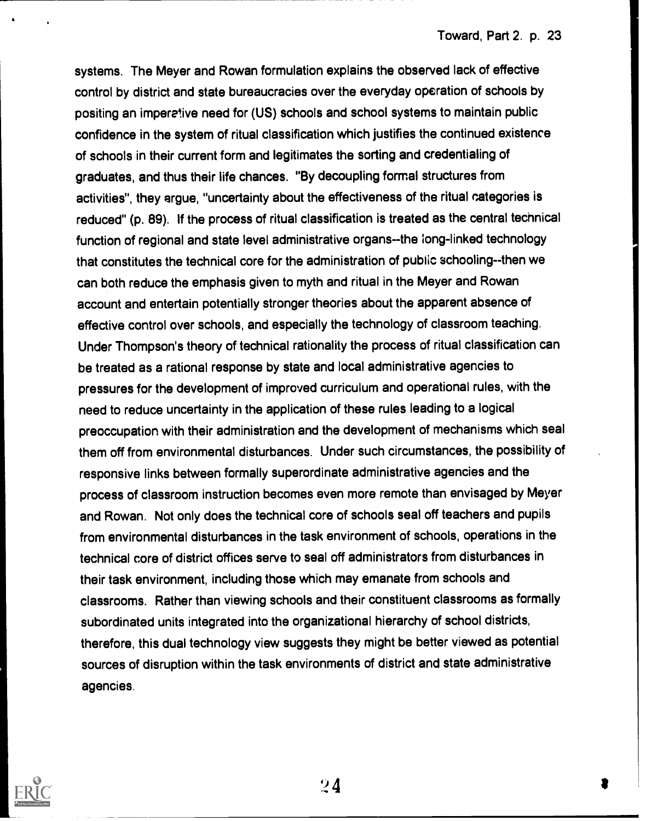systems. The Meyer and Rowan formulation explains the observed lack of effective control by district and state bureaucracies over the everyday operation of schools by positing an imperetive need for (US) schools and school systems to maintain public confidence in the system of ritual classification which justifies the continued existence of schools in their current form and legitimates the sorting and credentialing of graduates, and thus their life chances. "By decoupling formal structures from activities", they argue, "uncertainty about the effectiveness of the ritual categories is reduced" (p. 89). If the process of ritual classification is treated as the central technical function of regional and state level administrative organs--the long-linked technology that constitutes the technical core for the administration of public schooling--then we can both reduce the emphasis given to myth and ritual in the Meyer and Rowan account and entertain potentially stronger theories about the apparent absence of effective control over schools, and especially the technology of classroom teaching. Under Thompson's theory of technical rationality the process of ritual classification can be treated as a rational response by state and local administrative agencies to pressures for the development of improved curriculum and operational rules, with the need to reduce uncertainty in the application of these rules leading to a logical preoccupation with their administration and the development of mechanisms which seal them off from environmental disturbances. Under such circumstances, the possibility of responsive links between formally superordinate administrative agencies and the process of classroom instruction becomes even more remote than envisaged by Meyer and Rowan. Not only does the technical core of schools seal off teachers and pupils from environmental disturbances in the task environment of schools, operations in the technical core of district offices serve to seal off administrators from disturbances in their task environment, including those which may emanate from schools and classrooms. Rather than viewing schools and their constituent classrooms as formally subordinated units integrated into the organizational hierarchy of school districts, therefore, this dual technology view suggests they might be better viewed as potential sources of disruption within the task environments of district and state administrative agencies.

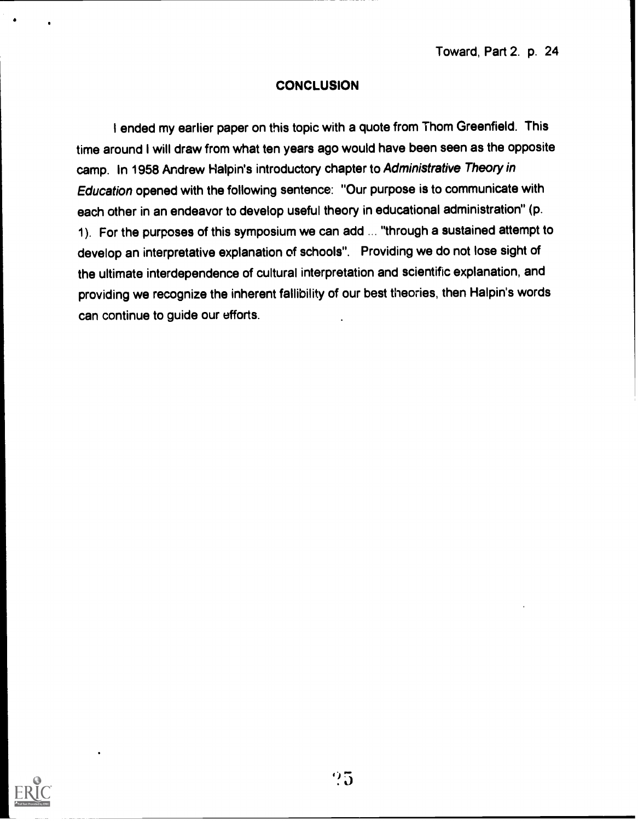#### **CONCLUSION**

I ended my earlier paper on this topic with a quote from Thom Greenfield. This time around I will draw from what ten years ago would have been seen as the opposite camp. In 1958 Andrew Halpin's introductory chapter to Administrative Theory in Education opened with the following sentence: "Our purpose is to communicate with each other in an endeavor to develop useful theory in educational administration" (p. 1). For the purposes of this symposium we can add ... "through a sustained attempt to develop an interpretative explanation of schools". Providing we do not lose sight of the ultimate interdependence of cultural interpretation and scientific explanation, and providing we recognize the inherent fallibility of our best theories, then Halpin's words can continue to guide our efforts.

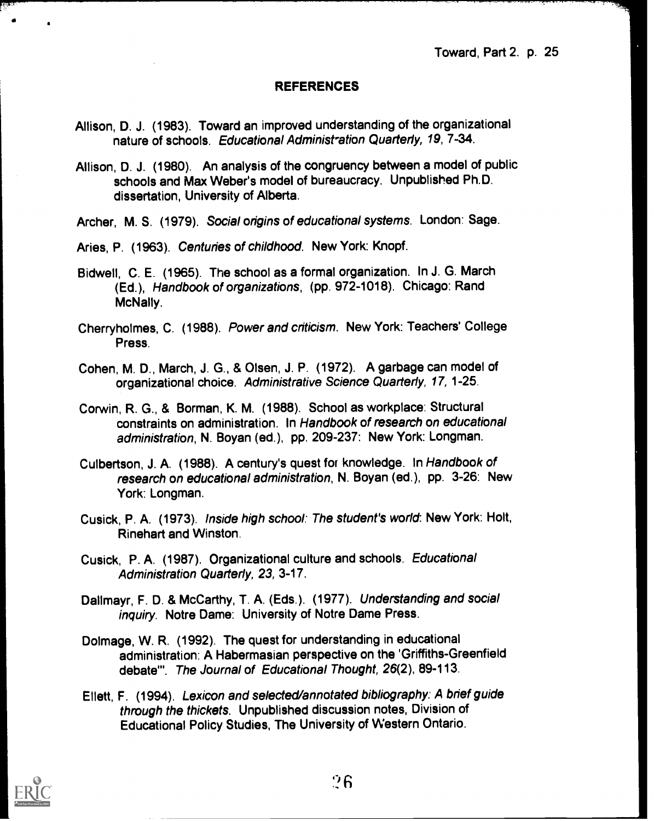#### REFERENCES

- Allison, D. J. (1983). Toward an improved understanding of the organizational nature of schools. Educational Administration Quarterly, 19, 7-34.
- Allison, D. J. (1980). An analysis of the congruency between a model of public schools and Max Weber's model of bureaucracy. Unpublished Ph.D. dissertation, University of Alberta.

Archer, M. S. (1979). Social origins of educational systems. London: Sage.

Aries, P. (1963). Centuries of childhood. New York: Knopf.

- Bidwell, C. E. (1965). The school as a formal organization. In J. G. March (Ed.), Handbook of organizations, (pp. 972-1018). Chicago: Rand McNally.
- Cherryholmes, C. (1988). Power and criticism. New York: Teachers' College Press.
- Cohen, M. D., March, J. G., & Olsen, J. P. (1972). A garbage can model of organizational choice. Administrative Science Quarterly, 17, 1-25.

Corwin, R. G., & Borman, K. M. (1988). School as workplace: Structural constraints on administration. In Handbook of research on educational administration, N. Boyan (ed.), pp. 209-237: New York: Longman.

- Culbertson, J. A. (1988). A century's quest for knowledge. In Handbook of research on educational administration, N. Boyan (ed.), pp. 3-26: New York: Longman.
- Cusick, P. A. (1973). Inside high school: The student's world: New York: Holt, Rinehart and Winston.
- Cusick, P. A. (1987). Organizational culture and schools. Educational Administration Quarterly, 23, 3-17.
- Dallmayr, F. D. & McCarthy, T. A. (Eds.). (1977). Understanding and social inquiry. Notre Dame: University of Notre Dame Press.
- Dolmage, W. R. (1992). The quest for understanding in educational administration: A Habermasian perspective on the 'Griffiths-Greenfield debate"'. The Journal of Educational Thought, 26(2), 89-113.
- Ellett, F. (1994). Lexicon and selected/annotated bibliography: A brief guide through the thickets. Unpublished discussion notes, Division of Educational Policy Studies, The University of Western Ontario.

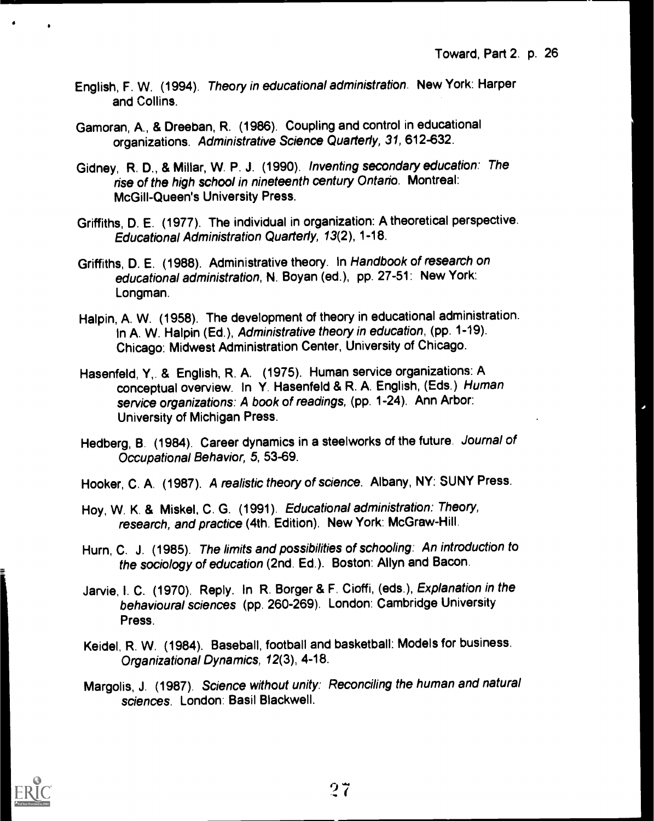- English, F. W. (1994). Theory in educational administration. New York: Harper and Collins.
- Gamoran, A., & Dreeban, R. (1986). Coupling and control in educational organizations. Administrative Science Quarterly, 31, 612-632.
- Gidney, R. D., & Millar, W. P. J. (1990). Inventing secondary education: The rise of the high school in nineteenth century Ontario. Montreal: McGill-Queen's University Press.
- Griffiths, D. E. (1977). The individual in organization: A theoretical perspective. Educational Administration Quarterly, 13(2), 1-18.
- Griffiths, D. E. (1988). Administrative theory. In Handbook of research on educational administration, N. Boyan (ed.), pp. 27-51: New York: Longman.
- Halpin, A. W. (1958). The development of theory in educational administration. In A. W. Halpin (Ed.), Administrative theory in education, (pp. 1-19). Chicago: Midwest Administration Center, University of Chicago.
- Hasenfeld, Y,. & English, R. A. (1975). Human service organizations: A conceptual overview. In Y. Hasenfeld & R. A. English, (Eds.) Human service organizations: A book of readings, (pp. 1-24). Ann Arbor: University of Michigan Press.
- Hedberg, B. (1984). Career dynamics in a steelworks of the future. Journal of Occupational Behavior, 5, 53-69.
- Hooker, C. A. (1987). A realistic theory of science. Albany, NY: SUNY Press.
- Hoy, W. K. & Miskel, C. G. (1991). Educational administration: Theory, research, and practice (4th. Edition). New York: McGraw-Hill.
- Hurn, C. J. (1985). The limits and possibilities of schooling: An introduction to the sociology of education (2nd. Ed.). Boston: Allyn and Bacon.
- Jarvie, I. C. (1970). Reply. In R. Borger & F. Cioffi, (eds.), Explanation in the behavioural sciences (pp. 260-269). London: Cambridge University Press.
- Keidel, R. W. (1984). Baseball, football and basketball: Models for business. Organizational Dynamics, 12(3), 4-18.
- Margolis, J. (1987). Science without unity: Reconciling the human and natural sciences. London: Basil Blackwell.

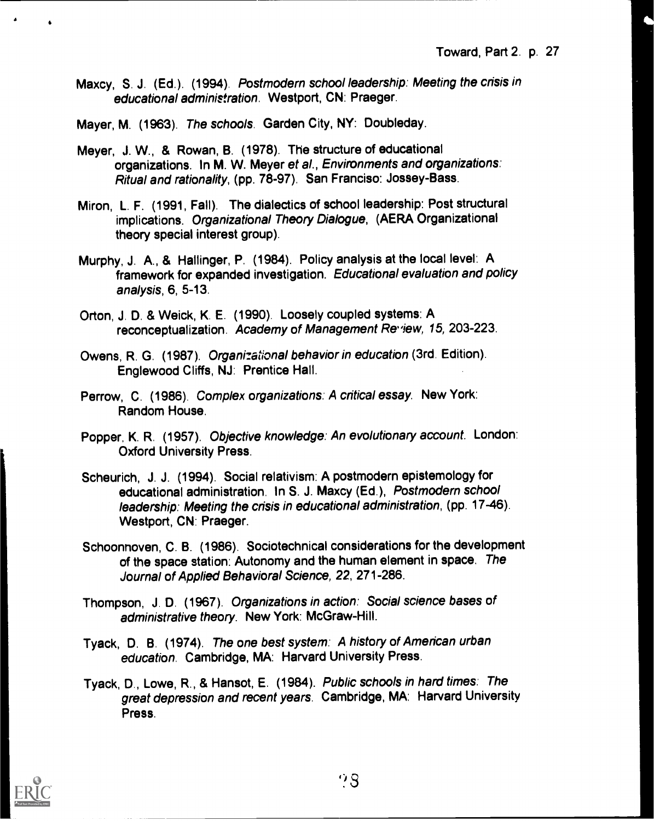Maxcy, S. J. (Ed.). (1994). Postmodern school leadership: Meeting the crisis in educational administration. Westport, CN: Praeger.

Mayer, M. (1963). The schools. Garden City, NY: Doubleday.

- Meyer, J. W., & Rowan, B. (1978). The structure of educational organizations. In M. W. Meyer et al., Environments and organizations: Ritual and rationality, (pp. 78-97). San Franciso: Jossey-Bass.
- Miron, L. F. (1991, Fall). The dialectics of school leadership: Post structural implications. Organizational Theory Dialogue, (AERA Organizational theory special interest group).
- Murphy, J. A., & Hallinger, P. (1984). Policy analysis at the local level: A framework for expanded investigation. Educational evaluation and policy analysis, 6, 5-13.
- Orton, J. D. & Weick, K. E. (1990). Loosely coupled systems: A reconceptualization. Academy of Management Review, 15, 203-223.
- Owens, R. G. (1987). Organizational behavior in education (3rd. Edition). Englewood Cliffs, NJ: Prentice Hall.
- Perrow, C. (1986). Complex organizations: A critical essay. New York: Random House.
- Popper, K. R. (1957). Objective knowledge: An evolutionary account. London: Oxford University Press.
- Scheurich, J. J. (1994). Social relativism: A postmodern epistemology for educational administration. In S. J. Maxcy (Ed.), Postmodern school leadership: Meeting the crisis in educational administration, (pp. 17-46). Westport, CN: Praeger.
- Schoonnoven, C. B. (1986). Sociotechnical considerations for the development of the space station: Autonomy and the human element in space. The Journal of Applied Behavioral Science, 22, 271-286.
- Thompson, J. D. (1967). Organizations in action: Social science bases of administrative theory. New York: McGraw-Hill.
- Tyack, D. B. (1974). The one best system: A history of American urban education. Cambridge, MA: Harvard University Press.
- Tyack, D., Lowe, R., & Hansot, E. (1984). Public schools in hard times: The great depression and recent years. Cambridge, MA: Harvard University Press.

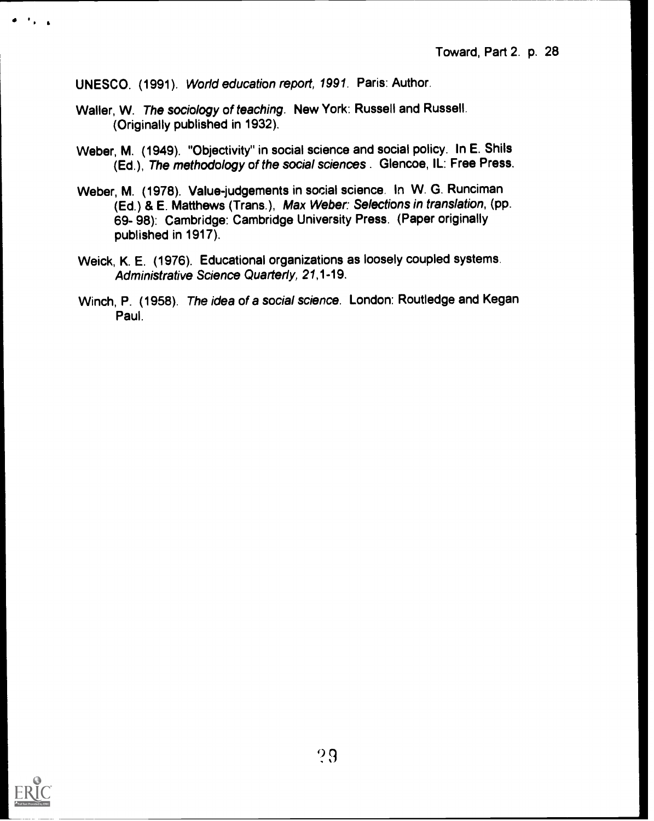UNESCO. (1991). World education report, 1991. Paris: Author.

- Waller, W. The sociology of teaching. New York: Russell and Russell. (Originally published in 1932).
- Weber, M. (1949). "Objectivity" in social science and social policy. In E. Shils (Ed.), The methodology of the social sciences . Glencoe, IL: Free Press.
- Weber, M. (1978). Value-judgements in social science. In W. G. Runciman (Ed.) & E. Matthews (Trans.), Max Weber: Selections in translation, (pp. 69- 98): Cambridge: Cambridge University Press. (Paper originally published in 1917).
- Weick, K. E. (1976). Educational organizations as loosely coupled systems. Administrative Science Quarterly, 21,1-19.
- Winch, P. (1958). The idea of a social science. London: Routledge and Kegan Paul.